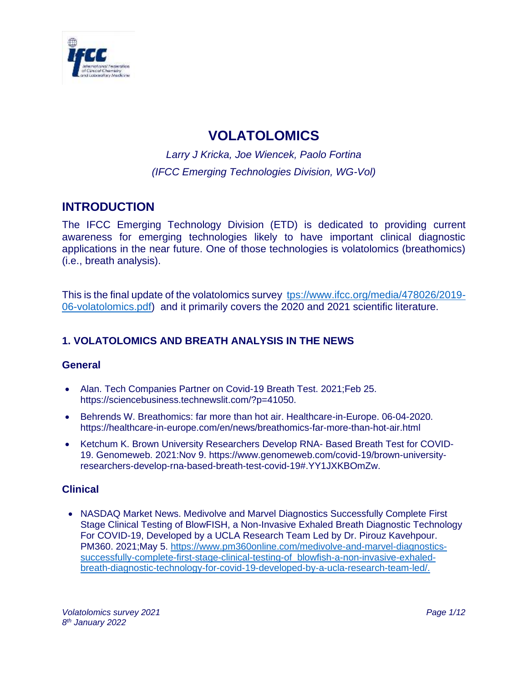

# **VOLATOLOMICS**

*Larry J Kricka, Joe Wiencek, Paolo Fortina (IFCC Emerging Technologies Division, WG-Vol)*

# **INTRODUCTION**

The IFCC Emerging Technology Division (ETD) is dedicated to providing current awareness for emerging technologies likely to have important clinical diagnostic applications in the near future. One of those technologies is volatolomics (breathomics) (i.e., breath analysis).

This is the final update of the volatolomics survey [tps://www.ifcc.org/media/478026/2019-](tps://www.ifcc.org/media/478026/2019-06-volatolomics.pdf) [06-volatolomics.pdf\)](tps://www.ifcc.org/media/478026/2019-06-volatolomics.pdf) and it primarily covers the 2020 and 2021 scientific literature.

# **1. VOLATOLOMICS AND BREATH ANALYSIS IN THE NEWS**

# **General**

- Alan. Tech Companies Partner on Covid-19 Breath Test. 2021;Feb 25. https://sciencebusiness.technewslit.com/?p=41050.
- Behrends W. Breathomics: far more than hot air. Healthcare-in-Europe. 06-04-2020. <https://healthcare-in-europe.com/en/news/breathomics-far-more-than-hot-air.html>
- Ketchum K. Brown University Researchers Develop RNA- Based Breath Test for COVID-19. Genomeweb. 2021:Nov 9. https://www.genomeweb.com/covid-19/brown-universityresearchers-develop-rna-based-breath-test-covid-19#.YY1JXKBOmZw.

# **Clinical**

• NASDAQ Market News. Medivolve and Marvel Diagnostics Successfully Complete First Stage Clinical Testing of BlowFISH, a Non-Invasive Exhaled Breath Diagnostic Technology For COVID-19, Developed by a UCLA Research Team Led by Dr. Pirouz Kavehpour. PM360. 2021;May 5. [https://www.pm360online.com/medivolve-and-marvel-diagnostics](https://www.pm360online.com/medivolve-and-marvel-diagnostics-successfully-complete-first-stage-clinical-testing-of)[successfully-complete-first-stage-clinical-testing-of\\_blowfish-a-non-invasive-exhaled](https://www.pm360online.com/medivolve-and-marvel-diagnostics-successfully-complete-first-stage-clinical-testing-of)[breath-diagnostic-technology-for-covid-19-developed-by-a-ucla-research-team-led/.](https://www.pm360online.com/medivolve-and-marvel-diagnostics-successfully-complete-first-stage-clinical-testing-of)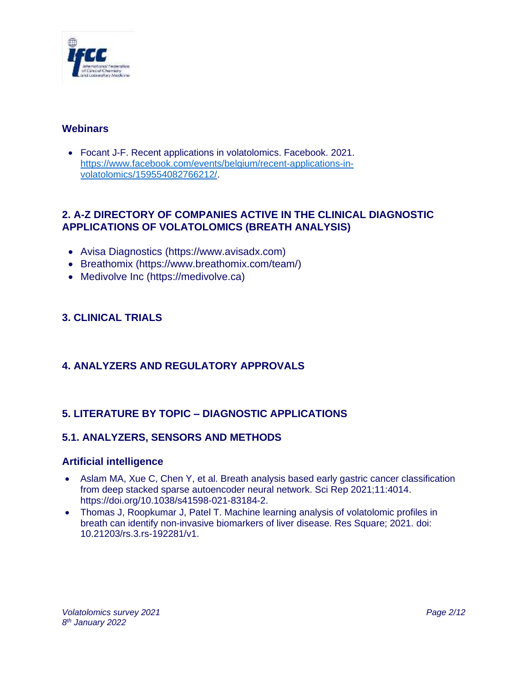

# **Webinars**

• Focant J-F. Recent applications in volatolomics. Facebook. 2021. [https://www.facebook.com/events/belgium/recent-applications-in](https://www.facebook.com/events/belgium/recent-applications-in-volatolomics/159554082766212/)[volatolomics/159554082766212/.](https://www.facebook.com/events/belgium/recent-applications-in-volatolomics/159554082766212/)

# **2. A-Z DIRECTORY OF COMPANIES ACTIVE IN THE CLINICAL DIAGNOSTIC APPLICATIONS OF VOLATOLOMICS (BREATH ANALYSIS)**

- Avisa Diagnostics [\(https://www.avisadx.com\)](file:///C:/Users/colli-lanzi/AppData/Local/Microsoft/Windows/INetCache/Content.Outlook/P40O74BV/(https:/www.avisadx.com)%0d)
- Breathomix [\(https://www.breathomix.com/team/\)](https://www.breathomix.com/team/)
- Medivolve Inc (https://medivolve.ca)

# **3. CLINICAL TRIALS**

# **4. ANALYZERS AND REGULATORY APPROVALS**

# **5. LITERATURE BY TOPIC – DIAGNOSTIC APPLICATIONS**

# **5.1. ANALYZERS, SENSORS AND METHODS**

#### **Artificial intelligence**

- Aslam MA, Xue C, Chen Y, et al. Breath analysis based early gastric cancer classification from deep stacked sparse autoencoder neural network. Sci Rep 2021;11:4014. https://doi.org/10.1038/s41598-021-83184-2.
- Thomas J, Roopkumar J, Patel T. Machine learning analysis of volatolomic profiles in breath can identify non-invasive biomarkers of liver disease. Res Square; 2021. doi: 10.21203/rs.3.rs-192281/v1.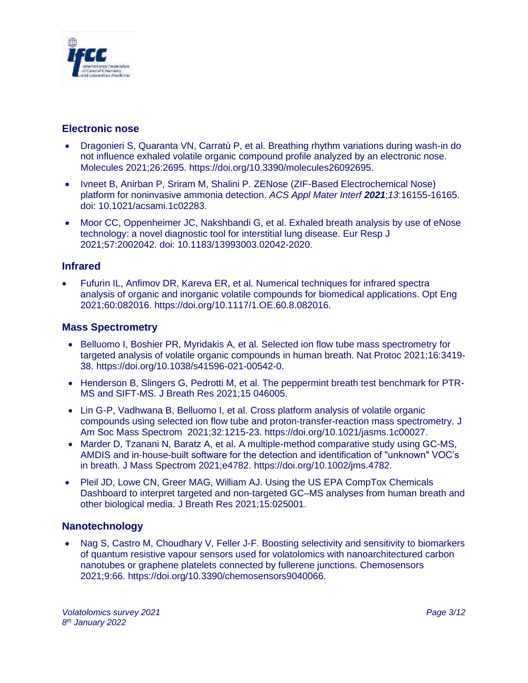

# **Electronic nose**

- Dragonieri S, Quaranta VN, Carratù P, et al. Breathing rhythm variations during wash-in do not influence exhaled volatile organic compound profile analyzed by an electronic nose. Molecules 2021;26:2695. [https://doi.org/10.3390/molecules26092695.](https://doi.org/10.3390/molecules26092695)
- Ivneet B, Anirban P, Sriram M, Shalini P. ZENose (ZIF-Based Electrochemical Nose) platform for noninvasive ammonia detection. *ACS Appl Mater Interf 2021*;*13*:16155-16165. doi: 10.1021/acsami.1c02283.
- Moor CC, Oppenheimer JC, Nakshbandi G, et al. Exhaled breath analysis by use of eNose technology: a novel diagnostic tool for interstitial lung disease. Eur Resp J 2021;57:2002042. doi: 10.1183/13993003.02042-2020.

### **Infrared**

• Fufurin IL, Anfimov DR, Kareva ER, et al. Numerical techniques for infrared spectra analysis of organic and inorganic volatile compounds for biomedical applications. Opt Eng 2021;60:082016. [https://doi.org/10.1117/1.OE.60.8.082016.](https://doi.org/10.1117/1.OE.60.8.082016)

### **Mass Spectrometry**

- Belluomo I, Boshier PR, Myridakis A, et al. Selected ion flow tube mass spectrometry for targeted analysis of volatile organic compounds in human breath. Nat Protoc 2021;16:3419- 38. [https://doi.org/10.1038/s41596-021-00542-0.](https://doi.org/10.1038/s41596-021-00542-0)
- Henderson B, Slingers G, Pedrotti M, et al. The peppermint breath test benchmark for PTR-MS and SIFT-MS. J Breath Res 2021;15 046005.
- Lin G-P, Vadhwana B, Belluomo I, et al. Cross platform analysis of volatile organic compounds using selected ion flow tube and proton-transfer-reaction mass spectrometry. J Am Soc Mass Spectrom 2021;32:1215-23. [https://doi.org/10.1021/jasms.1c00027.](https://doi.org/10.1021/jasms.1c00027)
- Marder D, Tzanani N, Baratz A, et al. A multiple-method comparative study using GC-MS, AMDIS and in-house-built software for the detection and identification of "unknown" VOC's in breath. J Mass Spectrom 2021;e4782. [https://doi.org/10.1002/jms.4782.](https://doi.org/10.1002/jms.4782)
- Pleil JD, Lowe CN, Greer MAG, William AJ. Using the US EPA CompTox Chemicals Dashboard to interpret targeted and non-targeted GC–MS analyses from human breath and other biological media. J Breath Res 2021;15:025001.

# **Nanotechnology**

• Nag S, Castro M, Choudhary V, Feller J-F. Boosting selectivity and sensitivity to biomarkers of quantum resistive vapour sensors used for volatolomics with nanoarchitectured carbon nanotubes or graphene platelets connected by fullerene junctions. Chemosensors 2021;9:66. https://doi.org/10.3390/chemosensors9040066.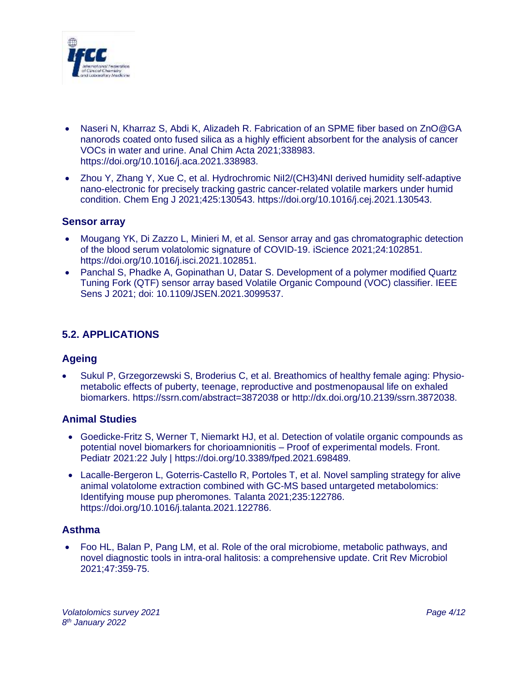

- Naseri N, Kharraz S, Abdi K, Alizadeh R. Fabrication of an SPME fiber based on ZnO@GA nanorods coated onto fused silica as a highly efficient absorbent for the analysis of cancer VOCs in water and urine. Anal Chim Acta 2021;338983. https://doi.org/10.1016/j.aca.2021.338983.
- Zhou Y, Zhang Y, Xue C, et al. Hydrochromic Nil2/(CH3)4NI derived humidity self-adaptive nano-electronic for precisely tracking gastric cancer-related volatile markers under humid condition. Chem Eng J 2021;425:130543. https://doi.org/10.1016/j.cej.2021.130543.

#### **Sensor array**

- Mougang YK, Di Zazzo L, Minieri M, et al. Sensor array and gas chromatographic detection of the blood serum volatolomic signature of COVID-19. iScience 2021;24:102851. [https://doi.org/10.1016/j.isci.2021.102851.](https://doi.org/10.1016/j.isci.2021.102851)
- Panchal S, Phadke A, Gopinathan U, Datar S. Development of a polymer modified Quartz Tuning Fork (QTF) sensor array based Volatile Organic Compound (VOC) classifier. IEEE Sens J 2021; doi: 10.1109/JSEN.2021.3099537.

# **5.2. APPLICATIONS**

#### **Ageing**

• Sukul P, Grzegorzewski S, Broderius C, et al. Breathomics of healthy female aging: Physiometabolic effects of puberty, teenage, reproductive and postmenopausal life on exhaled biomarkers.<https://ssrn.com/abstract=3872038> or<http://dx.doi.org/10.2139/ssrn.3872038.>

#### **Animal Studies**

- Goedicke-Fritz S, Werner T, Niemarkt HJ, et al. Detection of volatile organic compounds as potential novel biomarkers for chorioamnionitis – Proof of experimental models. Front. Pediatr 2021:22 July | [https://doi.org/10.3389/fped.2021.698489.](https://doi.org/10.3389/fped.2021.698489)
- Lacalle-Bergeron L, Goterris-Castello R, Portoles T, et al. Novel sampling strategy for alive animal volatolome extraction combined with GC-MS based untargeted metabolomics: Identifying mouse pup pheromones. Talanta 2021;235:122786. [https://doi.org/10.1016/j.talanta.2021.122786.](https://doi.org/10.1016/j.talanta.2021.122786)

# **Asthma**

• Foo HL, Balan P, Pang LM, et al. Role of the oral microbiome, metabolic pathways, and novel diagnostic tools in intra-oral halitosis: a comprehensive update. Crit Rev Microbiol 2021;47:359-75.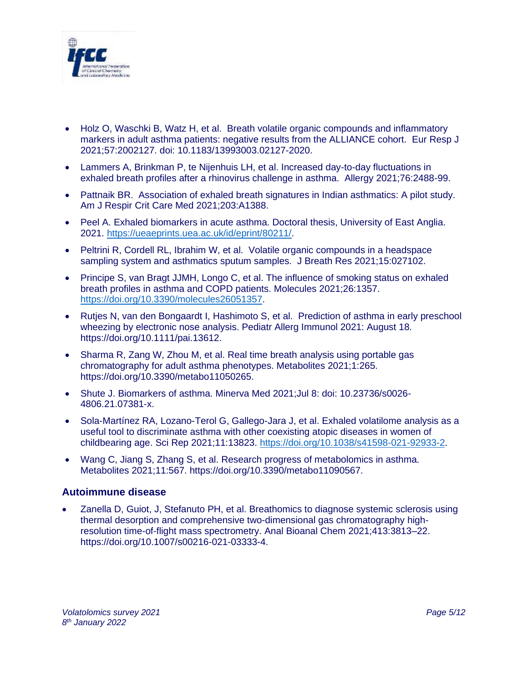

- Holz O, Waschki B, Watz H, et al. Breath volatile organic compounds and inflammatory markers in adult asthma patients: negative results from the ALLIANCE cohort. Eur Resp J 2021;57:2002127. doi: 10.1183/13993003.02127-2020.
- Lammers A, Brinkman P, te Nijenhuis LH, et al. Increased day-to-day fluctuations in exhaled breath profiles after a rhinovirus challenge in asthma. Allergy 2021;76:2488-99.
- Pattnaik BR. Association of exhaled breath signatures in Indian asthmatics: A pilot study. Am J Respir Crit Care Med 2021;203:A1388.
- Peel A. Exhaled biomarkers in acute asthma. Doctoral thesis, University of East Anglia. 2021. [https://ueaeprints.uea.ac.uk/id/eprint/80211/.](https://ueaeprints.uea.ac.uk/id/eprint/80211/)
- Peltrini R, Cordell RL, Ibrahim W, et al. Volatile organic compounds in a headspace sampling system and asthmatics sputum samples. J Breath Res 2021;15:027102.
- Principe S, van Bragt JJMH, Longo C, et al. The influence of smoking status on exhaled breath profiles in asthma and COPD patients. Molecules 2021;26:1357. [https://doi.org/10.3390/molecules26051357.](https://doi.org/10.3390/molecules26051357)
- Rutjes N, van den Bongaardt I, Hashimoto S, et al. Prediction of asthma in early preschool wheezing by electronic nose analysis. Pediatr Allerg Immunol 2021: August 18. [https://doi.org/10.1111/pai.13612.](https://doi.org/10.1111/pai.13612)
- Sharma R, Zang W, Zhou M, et al. Real time breath analysis using portable gas chromatography for adult asthma phenotypes. Metabolites 2021;1:265. https://doi.org/10.3390/metabo11050265.
- Shute J. Biomarkers of asthma. Minerva Med 2021;Jul 8: doi: 10.23736/s0026- 4806.21.07381-x.
- Sola-Martínez RA, Lozano-Terol G, Gallego-Jara J, et al. Exhaled volatilome analysis as a useful tool to discriminate asthma with other coexisting atopic diseases in women of childbearing age. Sci Rep 2021;11:13823. [https://doi.org/10.1038/s41598-021-92933-2.](https://doi.org/10.1038/s41598-021-92933-2)
- Wang C, Jiang S, Zhang S, et al. Research progress of metabolomics in asthma. Metabolites 2021;11:567. https://doi.org/10.3390/metabo11090567.

#### **Autoimmune disease**

• Zanella D, Guiot, J, Stefanuto PH, et al. Breathomics to diagnose systemic sclerosis using thermal desorption and comprehensive two-dimensional gas chromatography highresolution time-of-flight mass spectrometry. Anal Bioanal Chem 2021;413:3813–22. https://doi.org/10.1007/s00216-021-03333-4.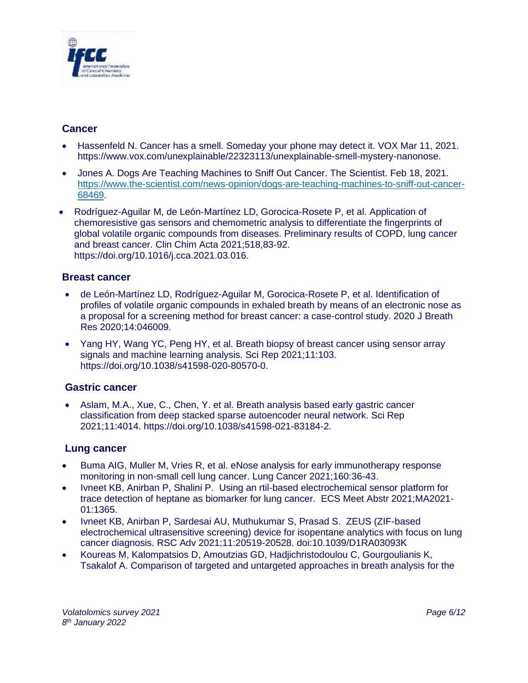

# **Cancer**

- Hassenfeld N. Cancer has a smell. Someday your phone may detect it. VOX Mar 11, 2021. [https://www.vox.com/unexplainable/22323113/unexplainable-smell-mystery-nanonose.](https://www.vox.com/unexplainable/22323113/unexplainable-smell-mystery-nanonose)
- Jones A. Dogs Are Teaching Machines to Sniff Out Cancer. The Scientist. Feb 18, 2021. [https://www.the-scientist.com/news-opinion/dogs-are-teaching-machines-to-sniff-out-cancer-](https://www.the-scientist.com/news-opinion/dogs-are-teaching-machines-to-sniff-out-cancer-68469)[68469.](https://www.the-scientist.com/news-opinion/dogs-are-teaching-machines-to-sniff-out-cancer-68469)
- Rodríguez-Aguilar M, de León-Martínez LD, Gorocica-Rosete P, et al. Application of chemoresistive gas sensors and chemometric analysis to differentiate the fingerprints of global volatile organic compounds from diseases. Preliminary results of COPD, lung cancer and breast cancer. Clin Chim Acta 2021;518,83-92. https://doi.org/10.1016/j.cca.2021.03.016.

### **Breast cancer**

- de León-Martínez LD, Rodríguez-Aguilar M, Gorocica-Rosete P, et al. Identification of profiles of volatile organic compounds in exhaled breath by means of an electronic nose as a proposal for a screening method for breast cancer: a case-control study. 2020 J Breath Res 2020;14:046009.
- Yang HY, Wang YC, Peng HY, et al. Breath biopsy of breast cancer using sensor array signals and machine learning analysis. Sci Rep 2021;11:103. https://doi.org/10.1038/s41598-020-80570-0.

#### **Gastric cancer**

• Aslam, M.A., Xue, C., Chen, Y. et al. Breath analysis based early gastric cancer classification from deep stacked sparse autoencoder neural network. Sci Rep 2021;11:4014. https://doi.org/10.1038/s41598-021-83184-2.

# **Lung cancer**

- Buma AIG, Muller M, Vries R, et al. eNose analysis for early immunotherapy response monitoring in non-small cell lung cancer. Lung Cancer 2021;160:36-43.
- Ivneet KB, Anirban P, Shalini P. Using an rtil-based electrochemical sensor platform for trace detection of heptane as biomarker for lung cancer. ECS Meet Abstr 2021;MA2021- 01:1365.
- Ivneet KB, Anirban P, Sardesai AU, Muthukumar S, Prasad S. ZEUS (ZIF-based electrochemical ultrasensitive screening) device for isopentane analytics with focus on lung cancer diagnosis. RSC Adv 2021;11:20519-20528. doi[:10.1039/D1RA03093K](https://doi.org/10.1039/D1RA03093K)
- Koureas M, Kalompatsios D, Amoutzias GD, Hadjichristodoulou C, Gourgoulianis K, Tsakalof A. Comparison of targeted and untargeted approaches in breath analysis for the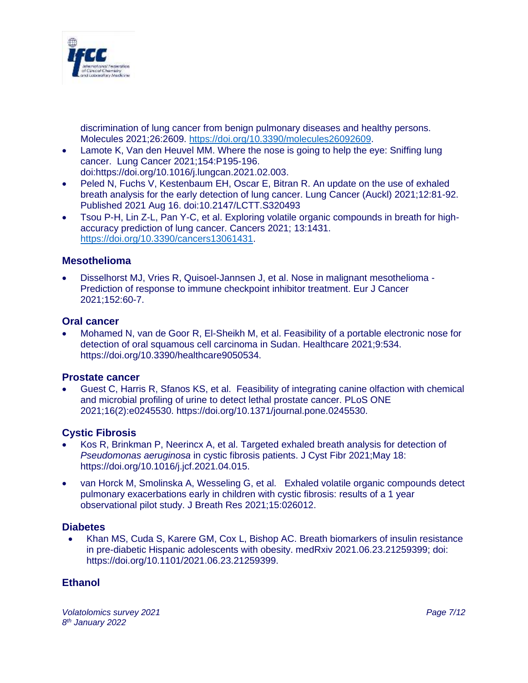

discrimination of lung cancer from benign pulmonary diseases and healthy persons. Molecules 2021;26:2609. [https://doi.org/10.3390/molecules26092609.](https://doi.org/10.3390/molecules26092609)

- Lamote K, Van den Heuvel MM. Where the nose is going to help the eye: Sniffing lung cancer. Lung Cancer 2021;154:P195-196.
	- doi[:https://doi.org/10.1016/j.lungcan.2021.02.003.](https://doi.org/10.1016/j.lungcan.2021.02.003)
- Peled N, Fuchs V, Kestenbaum EH, Oscar E, Bitran R. An update on the use of exhaled breath analysis for the early detection of lung cancer. Lung Cancer (Auckl) 2021;12:81-92. Published 2021 Aug 16. doi:10.2147/LCTT.S320493
- Tsou P-H, Lin Z-L, Pan Y-C, et al. Exploring volatile organic compounds in breath for highaccuracy prediction of lung cancer. Cancers 2021; 13:1431. [https://doi.org/10.3390/cancers13061431.](https://doi.org/10.3390/cancers13061431)

#### **Mesothelioma**

• Disselhorst MJ, Vries R, Quisoel-Jannsen J, et al. Nose in malignant mesothelioma - Prediction of response to immune checkpoint inhibitor treatment. Eur J Cancer 2021;152:60-7.

#### **Oral cancer**

• Mohamed N, van de Goor R, El-Sheikh M, et al. Feasibility of a portable electronic nose for detection of oral squamous cell carcinoma in Sudan. Healthcare 2021;9:534. https://doi.org/10.3390/healthcare9050534.

#### **Prostate cancer**

• Guest C, Harris R, Sfanos KS, et al. Feasibility of integrating canine olfaction with chemical and microbial profiling of urine to detect lethal prostate cancer. PLoS ONE 2021;16(2):e0245530. https://doi.org/10.1371/journal.pone.0245530.

#### **Cystic Fibrosis**

- Kos R, Brinkman P, Neerincx A, et al. Targeted exhaled breath analysis for detection of *Pseudomonas aeruginosa* in cystic fibrosis patients. J Cyst Fibr 2021;May 18: [https://doi.org/10.1016/j.jcf.2021.04.015.](https://doi.org/10.1016/j.jcf.2021.04.015)
- van Horck M, Smolinska A, Wesseling G, et al. Exhaled volatile organic compounds detect pulmonary exacerbations early in children with cystic fibrosis: results of a 1 year observational pilot study. J Breath Res 2021;15:026012.

#### **Diabetes**

• Khan MS, Cuda S, Karere GM, Cox L, Bishop AC. Breath biomarkers of insulin resistance in pre-diabetic Hispanic adolescents with obesity. medRxiv 2021.06.23.21259399; doi: https://doi.org/10.1101/2021.06.23.21259399.

#### **Ethanol**

*Volatolomics survey 2021 Page 7/12 8 th January 2022*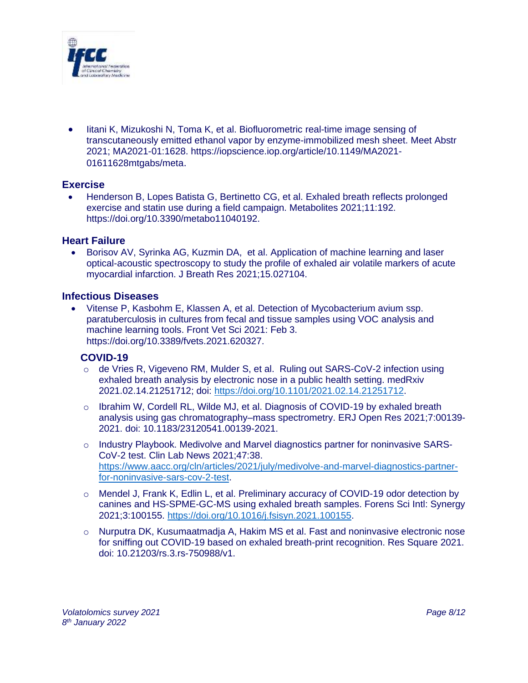

• Iitani K, Mizukoshi N, Toma K, et al. Biofluorometric real-time image sensing of transcutaneously emitted ethanol vapor by enzyme-immobilized mesh sheet. Meet Abstr 2021; MA2021-01:1628. https://iopscience.iop.org/article/10.1149/MA2021- 01611628mtgabs/meta.

#### **Exercise**

• Henderson B, Lopes Batista G, Bertinetto CG, et al. Exhaled breath reflects prolonged exercise and statin use during a field campaign. Metabolites 2021;11:192. https://doi.org/10.3390/metabo11040192.

#### **Heart Failure**

• Borisov AV, Syrinka AG, Kuzmin DA, et al. Application of machine learning and laser optical-acoustic spectroscopy to study the profile of exhaled air volatile markers of acute myocardial infarction. J Breath Res 2021;15.027104.

#### **Infectious Diseases**

• Vitense P, Kasbohm E, Klassen A, et al. Detection of Mycobacterium avium ssp. paratuberculosis in cultures from fecal and tissue samples using VOC analysis and machine learning tools. Front Vet Sci 2021: Feb 3. [https://doi.org/10.3389/fvets.2021.620327.](https://doi.org/10.3389/fvets.2021.620327)

#### **COVID-19**

- $\circ$  de Vries R, Vigeveno RM, Mulder S, et al. Ruling out SARS-CoV-2 infection using exhaled breath analysis by electronic nose in a public health setting. medRxiv 2021.02.14.21251712; doi: [https://doi.org/10.1101/2021.02.14.21251712.](https://doi.org/10.1101/2021.02.14.21251712)
- $\circ$  Ibrahim W, Cordell RL, Wilde MJ, et al. Diagnosis of COVID-19 by exhaled breath analysis using gas chromatography–mass spectrometry. ERJ Open Res 2021;7:00139- 2021. doi: 10.1183/23120541.00139-2021.
- $\circ$  Industry Playbook. Medivolve and Marvel diagnostics partner for noninvasive SARS-CoV-2 test. Clin Lab News 2021;47:38. [https://www.aacc.org/cln/articles/2021/july/medivolve-and-marvel-diagnostics-partner](https://www.aacc.org/cln/articles/2021/july/medivolve-and-marvel-diagnostics-partner-for-noninvasive-sars-cov-2-test)[for-noninvasive-sars-cov-2-test.](https://www.aacc.org/cln/articles/2021/july/medivolve-and-marvel-diagnostics-partner-for-noninvasive-sars-cov-2-test)
- o Mendel J, Frank K, Edlin L, et al. Preliminary accuracy of COVID-19 odor detection by canines and HS-SPME-GC-MS using exhaled breath samples. Forens Sci Intl: Synergy 2021;3:100155. [https://doi.org/10.1016/j.fsisyn.2021.100155.](https://doi.org/10.1016/j.fsisyn.2021.100155)
- o Nurputra DK, Kusumaatmadja A, Hakim MS et al. Fast and noninvasive electronic nose for sniffing out COVID-19 based on exhaled breath-print recognition. Res Square 2021. doi: [10.21203/rs.3.rs-750988/v1.](https://doi.org/10.21203/rs.3.rs-750988/v1)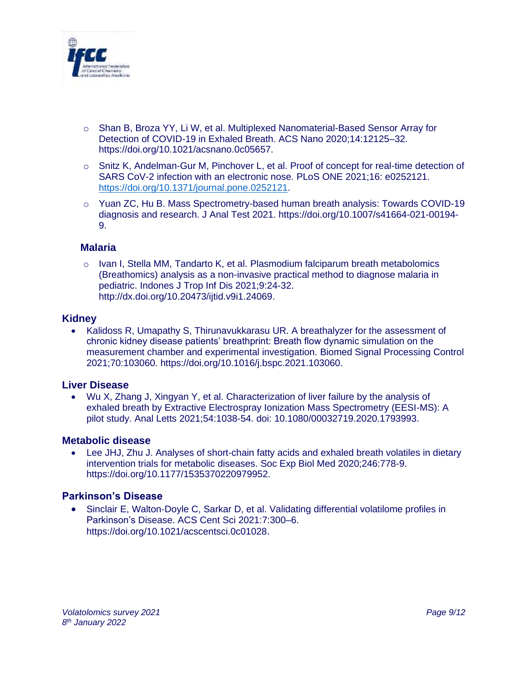

- o Shan B, Broza YY, Li W, et al. Multiplexed Nanomaterial-Based Sensor Array for Detection of COVID-19 in Exhaled Breath. ACS Nano 2020;14:12125–32. [https://doi.org/10.1021/acsnano.0c05657.](https://doi.org/10.1021/acsnano.0c05657)
- o Snitz K, Andelman-Gur M, Pinchover L, et al. Proof of concept for real-time detection of SARS CoV-2 infection with an electronic nose. PLoS ONE 2021;16: e0252121. [https://doi.org/10.1371/journal.pone.0252121.](https://doi.org/10.1371/journal.pone.0252121)
- o Yuan ZC, Hu B. Mass Spectrometry-based human breath analysis: Towards COVID-19 diagnosis and research. J Anal Test 2021. https://doi.org/10.1007/s41664-021-00194- 9.

#### **Malaria**

 $\circ$  Ivan I, Stella MM, Tandarto K, et al. Plasmodium falciparum breath metabolomics (Breathomics) analysis as a non-invasive practical method to diagnose malaria in pediatric. Indones J Trop Inf Dis 2021;9:24-32. [http://dx.doi.org/10.20473/ijtid.v9i1.24069.](http://dx.doi.org/10.20473/ijtid.v9i1.24069)

#### **Kidney**

• Kalidoss R, Umapathy S, Thirunavukkarasu UR. A breathalyzer for the assessment of chronic kidney disease patients' breathprint: Breath flow dynamic simulation on the measurement chamber and experimental investigation. Biomed Signal Processing Control 2021;70:103060. [https://doi.org/10.1016/j.bspc.2021.103060.](https://doi.org/10.1016/j.bspc.2021.103060)

#### **Liver Disease**

• Wu X, Zhang J, Xingyan Y, et al. Characterization of liver failure by the analysis of exhaled breath by Extractive Electrospray Ionization Mass Spectrometry (EESI-MS): A pilot study. Anal Letts 2021;54:1038-54. doi: [10.1080/00032719.2020.1793993.](https://doi.org/10.1080/00032719.2020.1793993)

#### **Metabolic disease**

• Lee JHJ, Zhu J. Analyses of short-chain fatty acids and exhaled breath volatiles in dietary intervention trials for metabolic diseases. Soc Exp Biol Med 2020;246:778-9. [https://doi.org/10.1177/1535370220979952.](https://doi.org/10.1177/1535370220979952)

#### **Parkinson's Disease**

• Sinclair E, Walton-Doyle C, Sarkar D, et al. Validating differential volatilome profiles in Parkinson's Disease. ACS Cent Sci 2021:7:300–6. <https://doi.org/10.1021/acscentsci.0c01028>.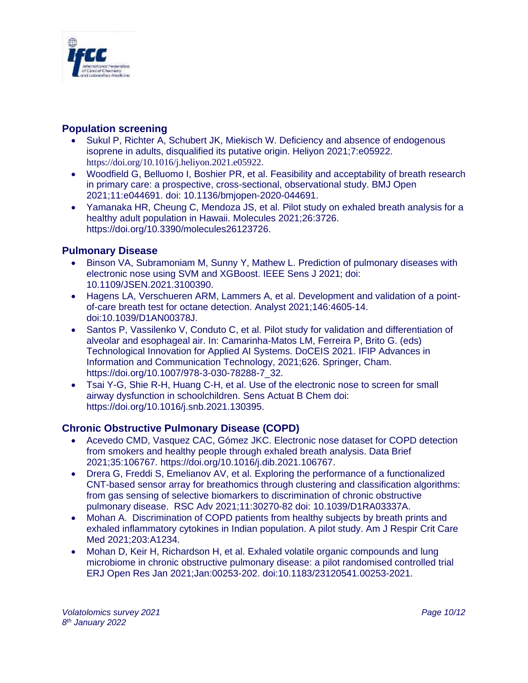

### **Population screening**

- Sukul P, Richter A, Schubert JK, Miekisch W. Deficiency and absence of endogenous isoprene in adults, disqualified its putative origin. Heliyon 2021;7:e05922. <https://doi.org/10.1016/j.heliyon.2021.e05922>.
- Woodfield G, Belluomo I, Boshier PR, et al. Feasibility and acceptability of breath research in primary care: a prospective, cross-sectional, observational study. BMJ Open 2021;11:e044691. doi: 10.1136/bmjopen-2020-044691.
- Yamanaka HR, Cheung C, Mendoza JS, et al. Pilot study on exhaled breath analysis for a healthy adult population in Hawaii. Molecules 2021;26:3726. https://doi.org/10.3390/molecules26123726.

# **Pulmonary Disease**

- Binson VA, Subramoniam M, Sunny Y, Mathew L. Prediction of pulmonary diseases with electronic nose using SVM and XGBoost. IEEE Sens J 2021; doi: 10.1109/JSEN.2021.3100390.
- Hagens LA, Verschueren ARM, Lammers A, et al. Development and validation of a pointof-care breath test for octane detectio[n.](https://pubs.rsc.org/en/content/articlehtml/2021/an/d1an00378j#fn1) [Analyst](https://doi.org/10.1039/1364-5528/1876) 2021;146:4605-14. doi[:10.1039/D1AN00378J.](https://doi.org/10.1039/D1AN00378J)
- Santos P, Vassilenko V, Conduto C, et al. Pilot study for validation and differentiation of alveolar and esophageal air. In: Camarinha-Matos LM, Ferreira P, Brito G. (eds) Technological Innovation for Applied AI Systems. DoCEIS 2021. IFIP Advances in Information and Communication Technology, 2021;626. Springer, Cham. https://doi.org/10.1007/978-3-030-78288-7\_32.
- Tsai Y-G, Shie R-H, Huang C-H, et al. Use of the electronic nose to screen for small airway dysfunction in schoolchildren. Sens Actuat B Chem doi: [https://doi.org/10.1016/j.snb.2021.130395.](https://doi.org/10.1016/j.snb.2021.130395)

# **Chronic Obstructive Pulmonary Disease (COPD)**

- Acevedo CMD, Vasquez CAC, Gómez JKC. Electronic nose dataset for COPD detection from smokers and healthy people through exhaled breath analysis. Data Brief 2021;35:106767. https://doi.org/10.1016/j.dib.2021.106767.
- Drera G, Freddi S, Emelianov AV, et al. Exploring the performance of a functionalized CNT-based sensor array for breathomics through clustering and classification algorithms: from gas sensing of selective biomarkers to discrimination of chronic obstructive pulmonary disease. RSC Adv 2021;11:30270-82 doi: [10.1039/D1RA03337A.](https://doi.org/10.1039/D1RA03337A)
- Mohan A. Discrimination of COPD patients from healthy subjects by breath prints and exhaled inflammatory cytokines in Indian population. A pilot study. Am J Respir Crit Care Med 2021;203:A1234.
- Mohan D, Keir H, Richardson H, et al. Exhaled volatile organic compounds and lung microbiome in chronic obstructive pulmonary disease: a pilot randomised controlled trial ERJ Open Res Jan 2021;Jan:00253-202. doi:10.1183/23120541.00253-2021.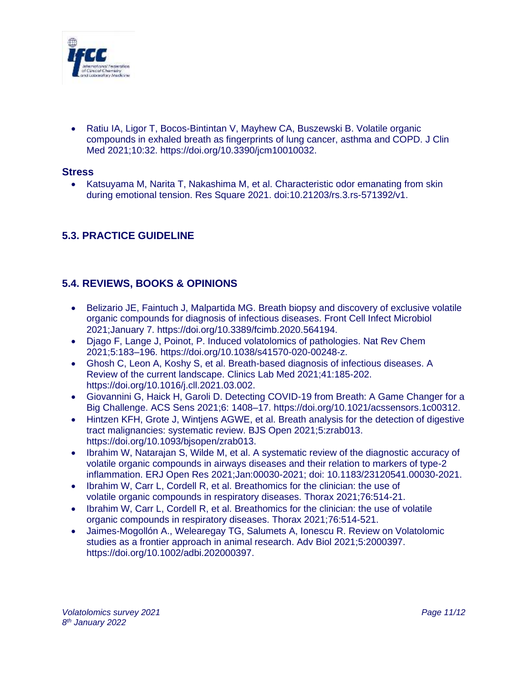

• Ratiu IA, Ligor T, Bocos-Bintintan V, Mayhew CA, Buszewski B. Volatile organic compounds in exhaled breath as fingerprints of lung cancer, asthma and COPD. J Clin Med 2021;10:32. https://doi.org/10.3390/jcm10010032.

#### **Stress**

• Katsuyama M, Narita T, Nakashima M, et al. Characteristic odor emanating from skin during emotional tension. Res Square 2021. doi[:10.21203/rs.3.rs-571392/v1.](https://doi.org/10.21203/rs.3.rs-571392/v1)

# **5.3. PRACTICE GUIDELINE**

# **5.4. REVIEWS, BOOKS & OPINIONS**

- Belizario JE, Faintuch J, Malpartida MG. Breath biopsy and discovery of exclusive volatile organic compounds for diagnosis of infectious diseases. Front Cell Infect Microbiol 2021;January 7. [https://doi.org/10.3389/fcimb.2020.564194.](https://doi.org/10.3389/fcimb.2020.564194)
- Djago F, Lange J, Poinot, P. Induced volatolomics of pathologies. Nat Rev Chem 2021;5:183–196. https://doi.org/10.1038/s41570-020-00248-z.
- Ghosh C, Leon A, Koshy S, et al. Breath-based diagnosis of infectious diseases. A Review of the current landscape. Clinics Lab Med 2021;41:185-202. [https://doi.org/10.1016/j.cll.2021.03.002.](https://doi.org/10.1016/j.cll.2021.03.002)
- Giovannini G, Haick H, Garoli D. Detecting COVID-19 from Breath: A Game Changer for a Big Challenge. ACS Sens 2021;6: 1408–17. [https://doi.org/10.1021/acssensors.1c00312.](https://doi.org/10.1021/acssensors.1c00312)
- Hintzen KFH, Grote J, Wintiens AGWE, et al. Breath analysis for the detection of digestive tract malignancies: systematic review. BJS Open 2021;5:zrab013. [https://doi.org/10.1093/bjsopen/zrab013.](https://doi.org/10.1093/bjsopen/zrab013)
- Ibrahim W, Natarajan S, Wilde M, et al. A systematic review of the diagnostic accuracy of volatile organic compounds in airways diseases and their relation to markers of type-2 inflammation. ERJ Open Res 2021;Jan:00030-2021; doi: 10.1183/23120541.00030-2021.
- Ibrahim W, Carr L, Cordell R, et al. Breathomics for the clinician: the use of volatile organic compounds in respiratory diseases. Thorax 2021;76:514-21.
- Ibrahim W, Carr L, Cordell R, et al. Breathomics for the clinician: the use of volatile organic compounds in respiratory diseases. Thorax 2021;76:514-521.
- Jaimes-Mogollón A., Welearegay TG, Salumets A, Ionescu R. Review on Volatolomic studies as a frontier approach in animal research. Adv Biol 2021;5:2000397. [https://doi.org/10.1002/adbi.202000397.](https://doi.org/10.1002/adbi.202000397)